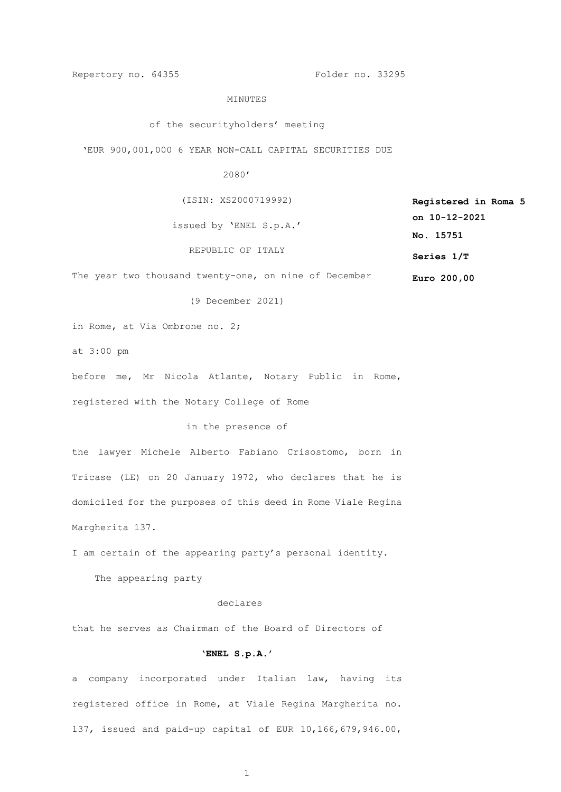Repertory no. 64355 Folder no. 33295

## MINUTES

of the securityholders' meeting

'EUR 900,001,000 6 YEAR NON-CALL CAPITAL SECURITIES DUE

2080'

(ISIN: XS2000719992)

issued by 'ENEL S.p.A.'

**Registered in Roma 5 on 10-12-2021 No. 15751 Series 1/T Euro 200,00**

REPUBLIC OF ITALY

The year two thousand twenty-one, on nine of December

(9 December 2021)

in Rome, at Via Ombrone no. 2;

at 3:00 pm

before me, Mr Nicola Atlante, Notary Public in Rome, registered with the Notary College of Rome

in the presence of

the lawyer Michele Alberto Fabiano Crisostomo, born in Tricase (LE) on 20 January 1972, who declares that he is domiciled for the purposes of this deed in Rome Viale Regina Margherita 137.

I am certain of the appearing party's personal identity.

The appearing party

## declares

that he serves as Chairman of the Board of Directors of

# **'ENEL S.p.A.'**

a company incorporated under Italian law, having its registered office in Rome, at Viale Regina Margherita no. 137, issued and paid-up capital of EUR 10,166,679,946.00,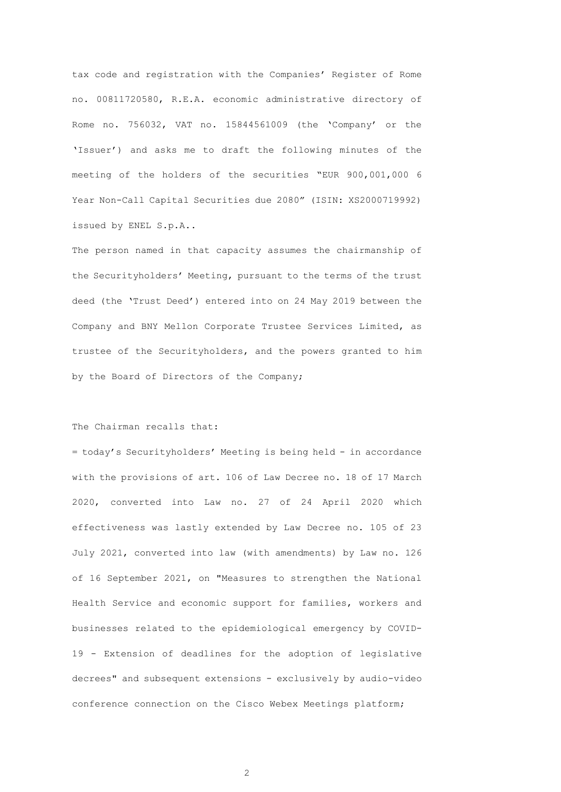tax code and registration with the Companies' Register of Rome no. 00811720580, R.E.A. economic administrative directory of Rome no. 756032, VAT no. 15844561009 (the 'Company' or the 'Issuer') and asks me to draft the following minutes of the meeting of the holders of the securities "EUR 900,001,000 6 Year Non-Call Capital Securities due 2080" (ISIN: XS2000719992) issued by ENEL S.p.A..

The person named in that capacity assumes the chairmanship of the Securityholders' Meeting, pursuant to the terms of the trust deed (the 'Trust Deed') entered into on 24 May 2019 between the Company and BNY Mellon Corporate Trustee Services Limited, as trustee of the Securityholders, and the powers granted to him by the Board of Directors of the Company;

## The Chairman recalls that:

= today's Securityholders' Meeting is being held - in accordance with the provisions of art. 106 of Law Decree no. 18 of 17 March 2020, converted into Law no. 27 of 24 April 2020 which effectiveness was lastly extended by Law Decree no. 105 of 23 July 2021, converted into law (with amendments) by Law no. 126 of 16 September 2021, on "Measures to strengthen the National Health Service and economic support for families, workers and businesses related to the epidemiological emergency by COVID-19 - Extension of deadlines for the adoption of legislative decrees" and subsequent extensions - exclusively by audio-video conference connection on the Cisco Webex Meetings platform;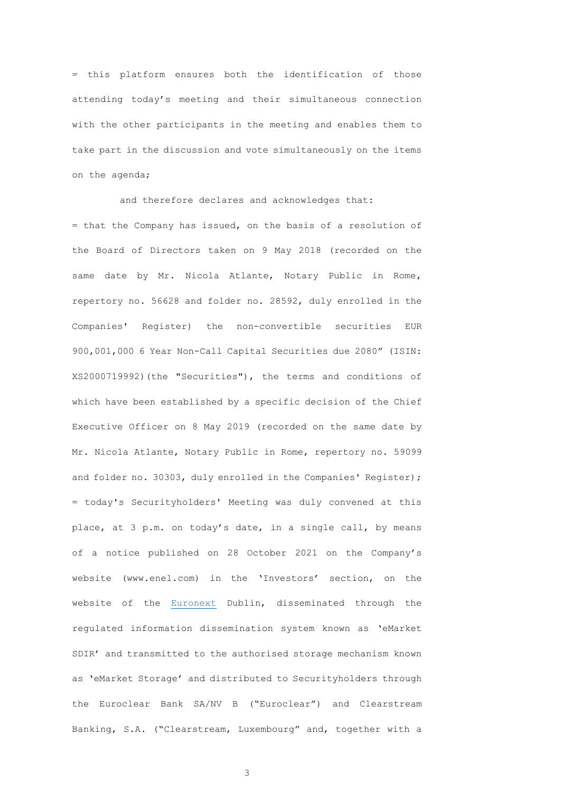= this platform ensures both the identification of those attending today's meeting and their simultaneous connection with the other participants in the meeting and enables them to take part in the discussion and vote simultaneously on the items on the agenda;

and therefore declares and acknowledges that: = that the Company has issued, on the basis of a resolution of the Board of Directors taken on 9 May 2018 (recorded on the same date by Mr. Nicola Atlante, Notary Public in Rome, repertory no. 56628 and folder no. 28592, duly enrolled in the Companies' Register) the non-convertible securities EUR 900,001,000 6 Year Non-Call Capital Securities due 2080" (ISIN: XS2000719992)(the "Securities"), the terms and conditions of which have been established by a specific decision of the Chief Executive Officer on 8 May 2019 (recorded on the same date by Mr. Nicola Atlante, Notary Public in Rome, repertory no. 59099 and folder no. 30303, duly enrolled in the Companies' Register); = today's Securityholders' Meeting was duly convened at this place, at 3 p.m. on today's date, in a single call, by means of a notice published on 28 October 2021 on the Company's website [\(w](http://www.enel.com/)ww.enel.com) in the 'Investors' section, on the website of the [Euronext](http://euronext/) Dublin, disseminated through the regulated information dissemination system known as 'eMarket SDIR' and transmitted to the authorised storage mechanism known as 'eMarket Storage' and distributed to Securityholders through the Euroclear Bank SA/NV B ("Euroclear") and Clearstream Banking, S.A. ("Clearstream, Luxembourg" and, together with a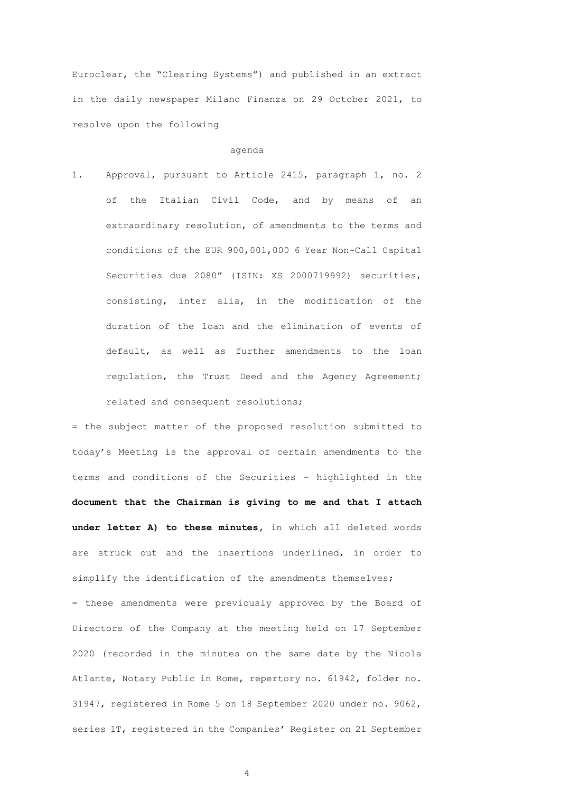Euroclear, the "Clearing Systems") and published in an extract in the daily newspaper Milano Finanza on 29 October 2021, to resolve upon the following

#### agenda

1. Approval, pursuant to Article 2415, paragraph 1, no. 2 of the Italian Civil Code, and by means of an extraordinary resolution, of amendments to the terms and conditions of the EUR 900,001,000 6 Year Non-Call Capital Securities due 2080" (ISIN: XS 2000719992) securities, consisting, inter alia, in the modification of the duration of the loan and the elimination of events of default, as well as further amendments to the loan regulation, the Trust Deed and the Agency Agreement; related and consequent resolutions;

= the subject matter of the proposed resolution submitted to today's Meeting is the approval of certain amendments to the terms and conditions of the Securities - highlighted in the **document that the Chairman is giving to me and that I attach under letter A) to these minutes,** in which all deleted words are struck out and the insertions underlined, in order to simplify the identification of the amendments themselves; = these amendments were previously approved by the Board of Directors of the Company at the meeting held on 17 September 2020 (recorded in the minutes on the same date by the Nicola Atlante, Notary Public in Rome, repertory no. 61942, folder no. 31947, registered in Rome 5 on 18 September 2020 under no. 9062, series 1T, registered in the Companies' Register on 21 September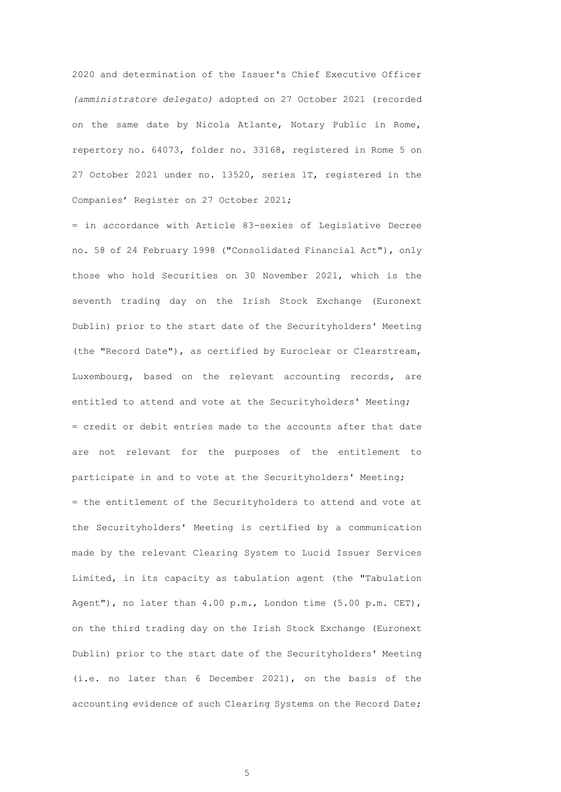2020 and determination of the Issuer's Chief Executive Officer *(amministratore delegato)* adopted on 27 October 2021 (recorded on the same date by Nicola Atlante, Notary Public in Rome, repertory no. 64073, folder no. 33168, registered in Rome 5 on 27 October 2021 under no. 13520, series 1T, registered in the Companies' Register on 27 October 2021;

= in accordance with Article 83-sexies of Legislative Decree no. 58 of 24 February 1998 ("Consolidated Financial Act"), only those who hold Securities on 30 November 2021, which is the seventh trading day on the Irish Stock Exchange (Euronext Dublin) prior to the start date of the Securityholders' Meeting (the "Record Date"), as certified by Euroclear or Clearstream, Luxembourg, based on the relevant accounting records, are entitled to attend and vote at the Securityholders' Meeting; = credit or debit entries made to the accounts after that date are not relevant for the purposes of the entitlement to participate in and to vote at the Securityholders' Meeting; = the entitlement of the Securityholders to attend and vote at the Securityholders' Meeting is certified by a communication made by the relevant Clearing System to Lucid Issuer Services Limited, in its capacity as tabulation agent (the "Tabulation Agent"), no later than 4.00 p.m., London time (5.00 p.m. CET), on the third trading day on the Irish Stock Exchange (Euronext Dublin) prior to the start date of the Securityholders' Meeting (i.e. no later than 6 December 2021), on the basis of the accounting evidence of such Clearing Systems on the Record Date;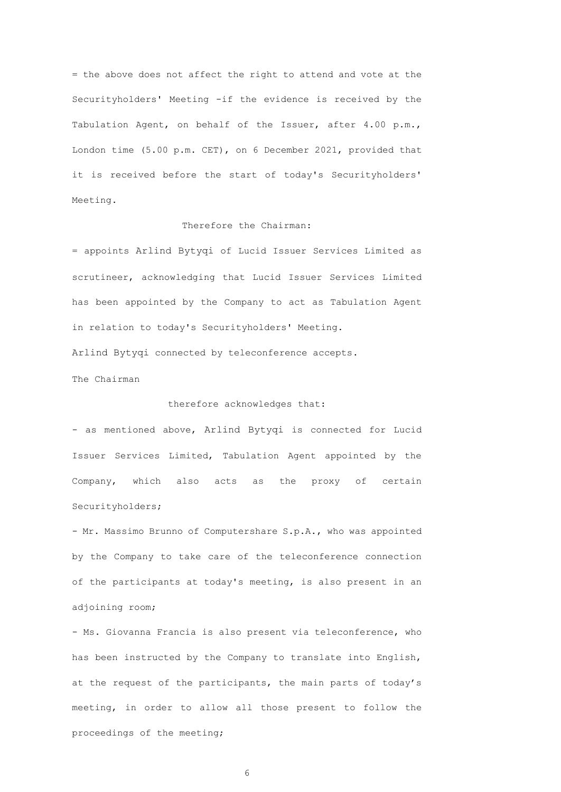= the above does not affect the right to attend and vote at the Securityholders' Meeting -if the evidence is received by the Tabulation Agent, on behalf of the Issuer, after 4.00 p.m., London time (5.00 p.m. CET), on 6 December 2021, provided that it is received before the start of today's Securityholders' Meeting.

## Therefore the Chairman:

= appoints Arlind Bytyqi of Lucid Issuer Services Limited as scrutineer, acknowledging that Lucid Issuer Services Limited has been appointed by the Company to act as Tabulation Agent in relation to today's Securityholders' Meeting. Arlind Bytyqi connected by teleconference accepts. The Chairman

### therefore acknowledges that:

- as mentioned above, Arlind Bytyqi is connected for Lucid Issuer Services Limited, Tabulation Agent appointed by the Company, which also acts as the proxy of certain Securityholders;

- Mr. Massimo Brunno of Computershare S.p.A., who was appointed by the Company to take care of the teleconference connection of the participants at today's meeting, is also present in an adjoining room;

- Ms. Giovanna Francia is also present via teleconference, who has been instructed by the Company to translate into English, at the request of the participants, the main parts of today's meeting, in order to allow all those present to follow the proceedings of the meeting;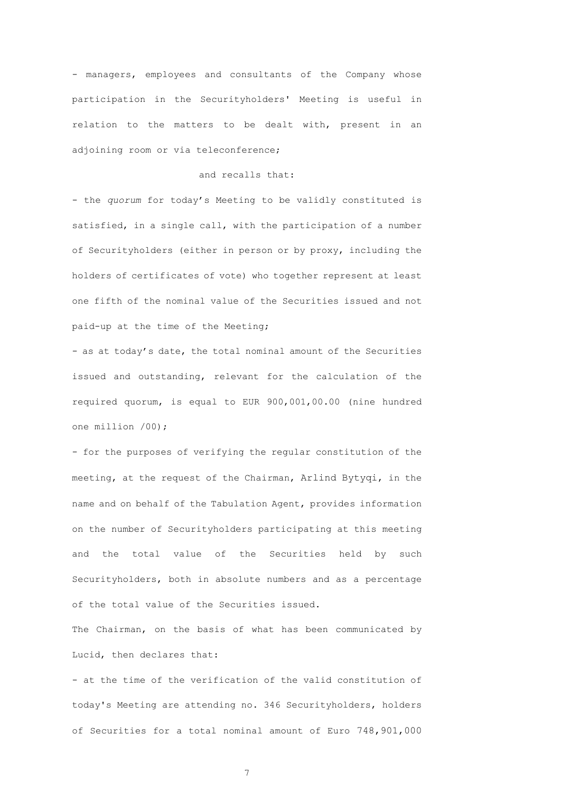- managers, employees and consultants of the Company whose participation in the Securityholders' Meeting is useful in relation to the matters to be dealt with, present in an adjoining room or via teleconference;

## and recalls that:

- the *quorum* for today's Meeting to be validly constituted is satisfied, in a single call, with the participation of a number of Securityholders (either in person or by proxy, including the holders of certificates of vote) who together represent at least one fifth of the nominal value of the Securities issued and not paid-up at the time of the Meeting;

- as at today's date, the total nominal amount of the Securities issued and outstanding, relevant for the calculation of the required quorum, is equal to EUR 900,001,00.00 (nine hundred one million /00);

- for the purposes of verifying the regular constitution of the meeting, at the request of the Chairman, Arlind Bytyqi, in the name and on behalf of the Tabulation Agent, provides information on the number of Securityholders participating at this meeting and the total value of the Securities held by such Securityholders, both in absolute numbers and as a percentage of the total value of the Securities issued.

The Chairman, on the basis of what has been communicated by Lucid, then declares that:

- at the time of the verification of the valid constitution of today's Meeting are attending no. 346 Securityholders, holders of Securities for a total nominal amount of Euro 748,901,000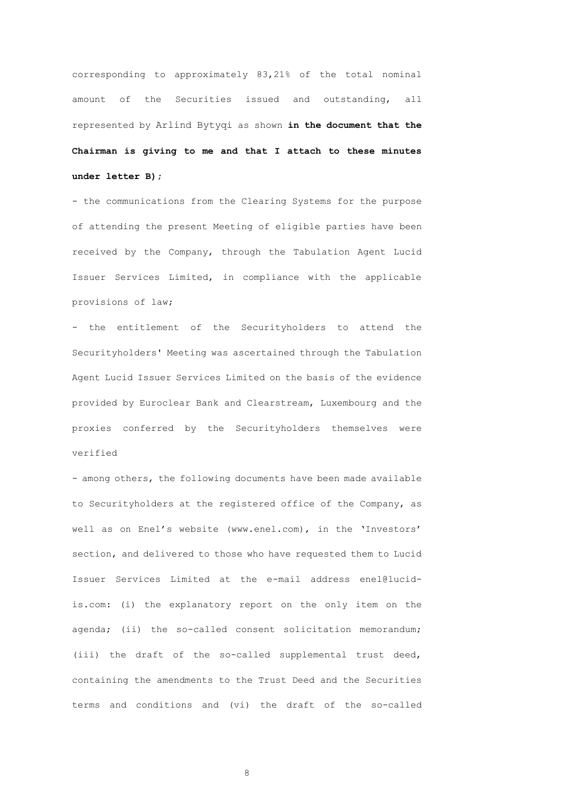corresponding to approximately 83,21% of the total nominal amount of the Securities issued and outstanding, all represented by Arlind Bytyqi as shown **in the document that the Chairman is giving to me and that I attach to these minutes under letter B);**

- the communications from the Clearing Systems for the purpose of attending the present Meeting of eligible parties have been received by the Company, through the Tabulation Agent Lucid Issuer Services Limited, in compliance with the applicable provisions of law;

- the entitlement of the Securityholders to attend the Securityholders' Meeting was ascertained through the Tabulation Agent Lucid Issuer Services Limited on the basis of the evidence provided by Euroclear Bank and Clearstream, Luxembourg and the proxies conferred by the Securityholders themselves were verified

- among others, the following documents have been made available to Securityholders at the registered office of the Company, as well as on Enel's website [\(w](http://www.enel.com/)ww.enel.com), in the 'Investors' section, and delivered to those who have requested them to Lucid Issuer Services Limited at the e-mail address enel@lucidis.com: (i) the explanatory report on the only item on the agenda; (ii) the so-called consent solicitation memorandum; (iii) the draft of the so-called supplemental trust deed, containing the amendments to the Trust Deed and the Securities terms and conditions and (vi) the draft of the so-called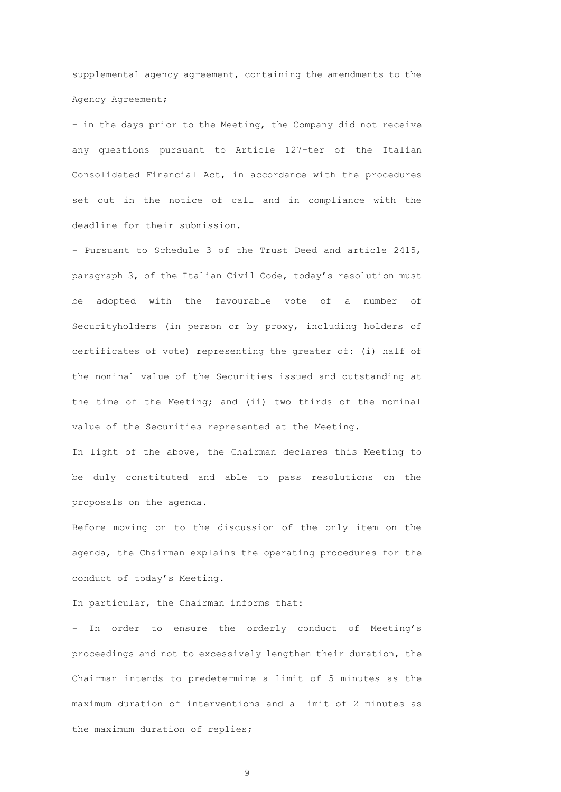supplemental agency agreement, containing the amendments to the Agency Agreement;

- in the days prior to the Meeting, the Company did not receive any questions pursuant to Article 127-ter of the Italian Consolidated Financial Act, in accordance with the procedures set out in the notice of call and in compliance with the deadline for their submission.

- Pursuant to Schedule 3 of the Trust Deed and article 2415, paragraph 3, of the Italian Civil Code, today's resolution must be adopted with the favourable vote of a number of Securityholders (in person or by proxy, including holders of certificates of vote) representing the greater of: (i) half of the nominal value of the Securities issued and outstanding at the time of the Meeting; and (ii) two thirds of the nominal value of the Securities represented at the Meeting.

In light of the above, the Chairman declares this Meeting to be duly constituted and able to pass resolutions on the proposals on the agenda.

Before moving on to the discussion of the only item on the agenda, the Chairman explains the operating procedures for the conduct of today's Meeting.

In particular, the Chairman informs that:

- In order to ensure the orderly conduct of Meeting's proceedings and not to excessively lengthen their duration, the Chairman intends to predetermine a limit of 5 minutes as the maximum duration of interventions and a limit of 2 minutes as the maximum duration of replies;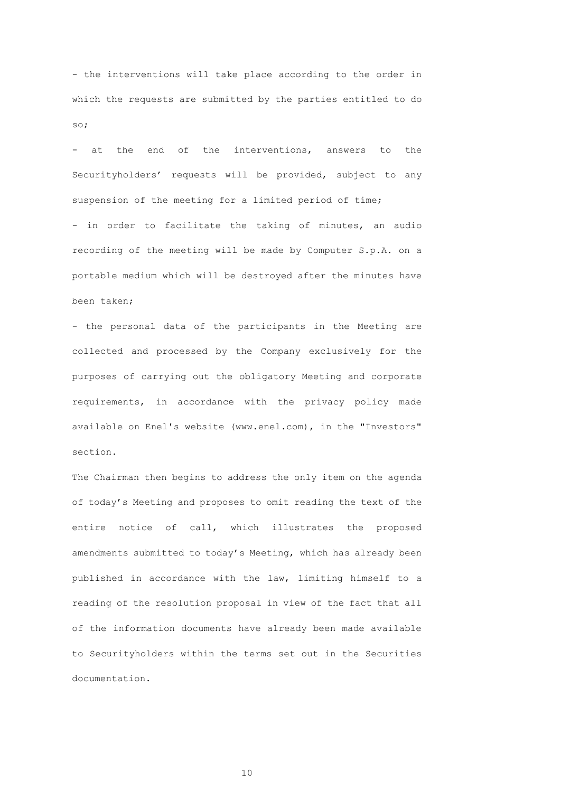- the interventions will take place according to the order in which the requests are submitted by the parties entitled to do so;

- at the end of the interventions, answers to the Securityholders' requests will be provided, subject to any suspension of the meeting for a limited period of time;

- in order to facilitate the taking of minutes, an audio recording of the meeting will be made by Computer S.p.A. on a portable medium which will be destroyed after the minutes have been taken;

- the personal data of the participants in the Meeting are collected and processed by the Company exclusively for the purposes of carrying out the obligatory Meeting and corporate requirements, in accordance with the privacy policy made available on Enel's website [\(w](http://www.enel.com/)ww.enel.com), in the "Investors" section.

The Chairman then begins to address the only item on the agenda of today's Meeting and proposes to omit reading the text of the entire notice of call, which illustrates the proposed amendments submitted to today's Meeting, which has already been published in accordance with the law, limiting himself to a reading of the resolution proposal in view of the fact that all of the information documents have already been made available to Securityholders within the terms set out in the Securities documentation.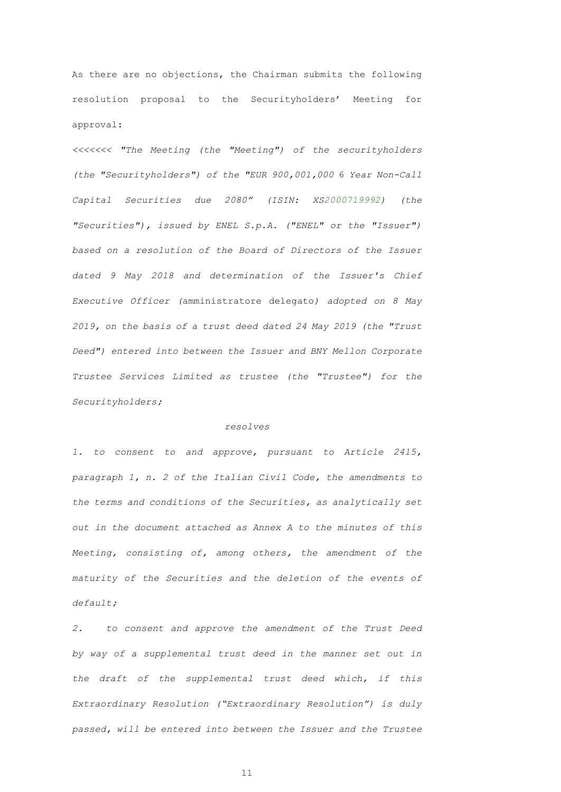As there are no objections, the Chairman submits the following resolution proposal to the Securityholders' Meeting for approval:

*<<<<<<< "The Meeting (the "Meeting") of the securityholders (the "Securityholders") of the "EUR 900,001,000* 6 *Year Non-Call Capital Securities due 2080" (ISIN: XS2000719992) (the "Securities"), issued by ENEL S.p.A. ("ENEL" or the "Issuer") based on a resolution of the Board of Directors of the Issuer dated 9 May 2018 and determination of the Issuer's Chief Executive Officer (*amministratore delegato*) adopted on 8 May 2019, on the basis of a trust deed dated 24 May 2019 (the "Trust Deed") entered into between the Issuer and BNY Mellon Corporate Trustee Services Limited as trustee (the "Trustee") for the Securityholders;*

#### *resolves*

*1. to consent to and approve, pursuant to Article 2415, paragraph 1, n. 2 of the Italian Civil Code, the amendments to the terms and conditions of the Securities, as analytically set out in the document attached as Annex A to the minutes of this Meeting, consisting of, among others, the amendment of the maturity of the Securities and the deletion of the events of default;*

*2. to consent and approve the amendment of the Trust Deed by way of a supplemental trust deed in the manner set out in the draft of the supplemental trust deed which, if this Extraordinary Resolution ("Extraordinary Resolution") is duly passed, will be entered into between the Issuer and the Trustee*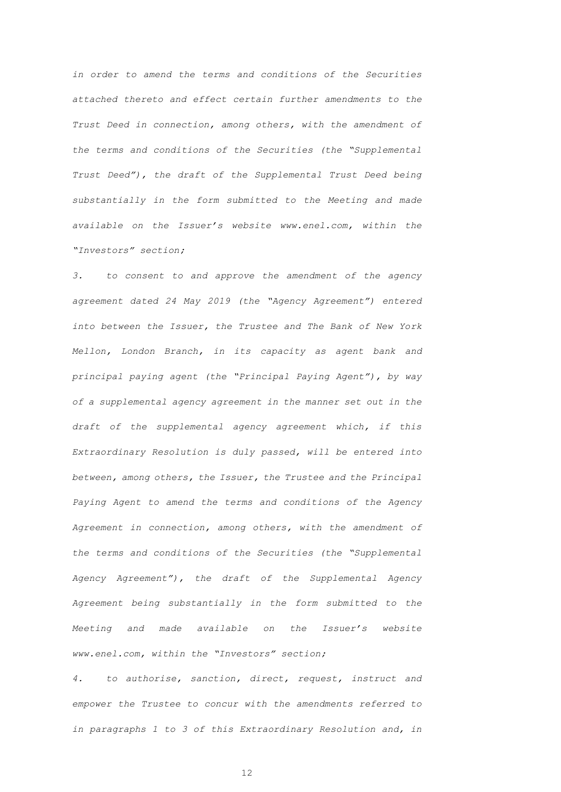*in order to amend the terms and conditions of the Securities attached thereto and effect certain further amendments to the Trust Deed in connection, among others, with the amendment of the terms and conditions of the Securities (the "Supplemental Trust Deed"), the draft of the Supplemental Trust Deed being substantially in the form submitted to the Meeting and made available on the Issuer's website www.enel.com, within the "Investors" section;*

*3. to consent to and approve the amendment of the agency agreement dated 24 May 2019 (the "Agency Agreement") entered into between the Issuer, the Trustee and The Bank of New York Mellon, London Branch, in its capacity as agent bank and principal paying agent (the "Principal Paying Agent"), by way of a supplemental agency agreement in the manner set out in the draft of the supplemental agency agreement which, if this Extraordinary Resolution is duly passed, will be entered into between, among others, the Issuer, the Trustee and the Principal Paying Agent to amend the terms and conditions of the Agency Agreement in connection, among others, with the amendment of the terms and conditions of the Securities (the "Supplemental Agency Agreement"), the draft of the Supplemental Agency Agreement being substantially in the form submitted to the Meeting and made available on the Issuer's website www.enel.com, within the "Investors" section;*

*4. to authorise, sanction, direct, request, instruct and empower the Trustee to concur with the amendments referred to in paragraphs 1 to 3 of this Extraordinary Resolution and, in*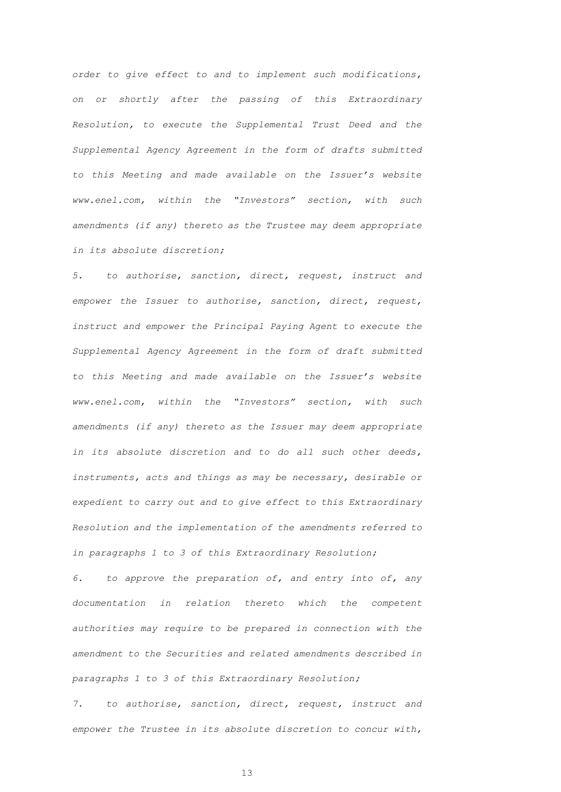*order to give effect to and to implement such modifications, on or shortly after the passing of this Extraordinary Resolution, to execute the Supplemental Trust Deed and the Supplemental Agency Agreement in the form of drafts submitted to this Meeting and made available on the Issuer's website www.enel.com, within the "Investors" section, with such amendments (if any) thereto as the Trustee may deem appropriate in its absolute discretion;*

*5. to authorise, sanction, direct, request, instruct and empower the Issuer to authorise, sanction, direct, request, instruct and empower the Principal Paying Agent to execute the Supplemental Agency Agreement in the form of draft submitted to this Meeting and made available on the Issuer's website www.enel.com, within the "Investors" section, with such amendments (if any) thereto as the Issuer may deem appropriate in its absolute discretion and to do all such other deeds, instruments, acts and things as may be necessary, desirable or expedient to carry out and to give effect to this Extraordinary Resolution and the implementation of the amendments referred to in paragraphs 1 to 3 of this Extraordinary Resolution;*

*6. to approve the preparation of, and entry into of, any documentation in relation thereto which the competent authorities may require to be prepared in connection with the amendment to the Securities and related amendments described in paragraphs 1 to 3 of this Extraordinary Resolution;*

*7. to authorise, sanction, direct, request, instruct and empower the Trustee in its absolute discretion to concur with,*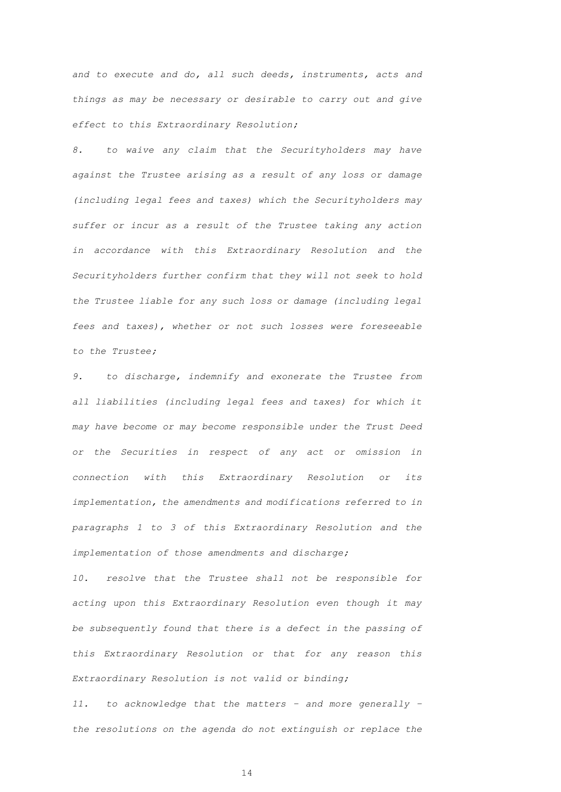*and to execute and do, all such deeds, instruments, acts and things as may be necessary or desirable to carry out and give effect to this Extraordinary Resolution;*

*8. to waive any claim that the Securityholders may have against the Trustee arising as a result of any loss or damage (including legal fees and taxes) which the Securityholders may suffer or incur as a result of the Trustee taking any action in accordance with this Extraordinary Resolution and the Securityholders further confirm that they will not seek to hold the Trustee liable for any such loss or damage (including legal fees and taxes), whether or not such losses were foreseeable to the Trustee;* 

*9. to discharge, indemnify and exonerate the Trustee from all liabilities (including legal fees and taxes) for which it may have become or may become responsible under the Trust Deed or the Securities in respect of any act or omission in connection with this Extraordinary Resolution or its implementation, the amendments and modifications referred to in paragraphs 1 to 3 of this Extraordinary Resolution and the implementation of those amendments and discharge;*

*10. resolve that the Trustee shall not be responsible for acting upon this Extraordinary Resolution even though it may be subsequently found that there is a defect in the passing of this Extraordinary Resolution or that for any reason this Extraordinary Resolution is not valid or binding;*

*11. to acknowledge that the matters – and more generally – the resolutions on the agenda do not extinguish or replace the*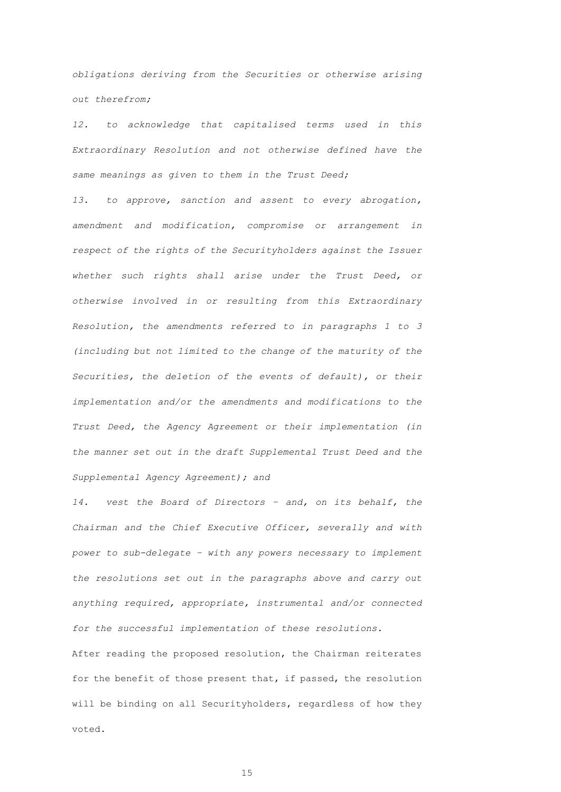*obligations deriving from the Securities or otherwise arising out therefrom;*

*12. to acknowledge that capitalised terms used in this Extraordinary Resolution and not otherwise defined have the same meanings as given to them in the Trust Deed;*

*13. to approve, sanction and assent to every abrogation, amendment and modification, compromise or arrangement in respect of the rights of the Securityholders against the Issuer whether such rights shall arise under the Trust Deed, or otherwise involved in or resulting from this Extraordinary Resolution, the amendments referred to in paragraphs 1 to 3 (including but not limited to the change of the maturity of the Securities, the deletion of the events of default), or their implementation and/or the amendments and modifications to the Trust Deed, the Agency Agreement or their implementation (in the manner set out in the draft Supplemental Trust Deed and the Supplemental Agency Agreement); and*

*14. vest the Board of Directors – and, on its behalf, the Chairman and the Chief Executive Officer, severally and with power to sub-delegate – with any powers necessary to implement the resolutions set out in the paragraphs above and carry out anything required, appropriate, instrumental and/or connected for the successful implementation of these resolutions.* After reading the proposed resolution, the Chairman reiterates for the benefit of those present that, if passed, the resolution will be binding on all Securityholders, regardless of how they voted.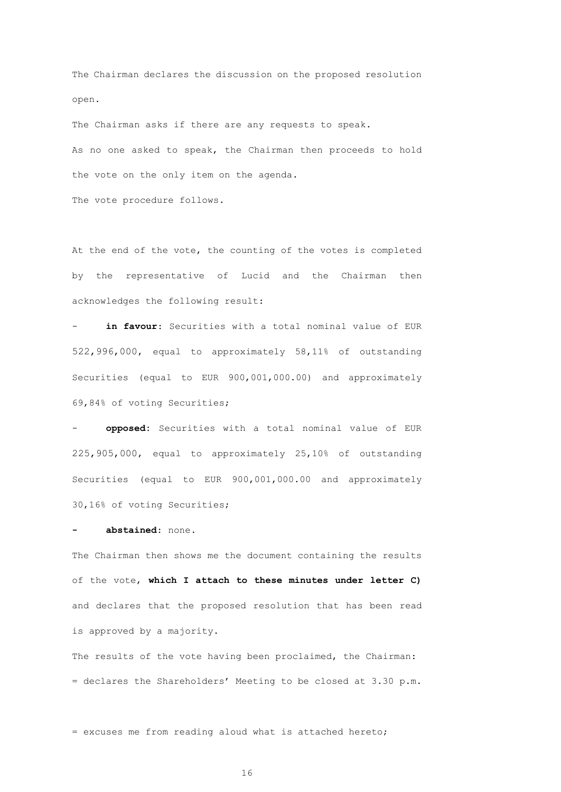The Chairman declares the discussion on the proposed resolution open.

The Chairman asks if there are any requests to speak. As no one asked to speak, the Chairman then proceeds to hold the vote on the only item on the agenda.

The vote procedure follows.

At the end of the vote, the counting of the votes is completed by the representative of Lucid and the Chairman then acknowledges the following result:

in favour: Securities with a total nominal value of EUR 522,996,000, equal to approximately 58,11% of outstanding Securities (equal to EUR 900,001,000.00) and approximately 69,84% of voting Securities;

- **opposed:** Securities with a total nominal value of EUR 225,905,000, equal to approximately 25,10% of outstanding Securities (equal to EUR 900,001,000.00 and approximately 30,16% of voting Securities;

## **- abstained**: none.

The Chairman then shows me the document containing the results of the vote, **which I attach to these minutes under letter C)**  and declares that the proposed resolution that has been read is approved by a majority.

The results of the vote having been proclaimed, the Chairman: = declares the Shareholders' Meeting to be closed at 3.30 p.m.

= excuses me from reading aloud what is attached hereto;